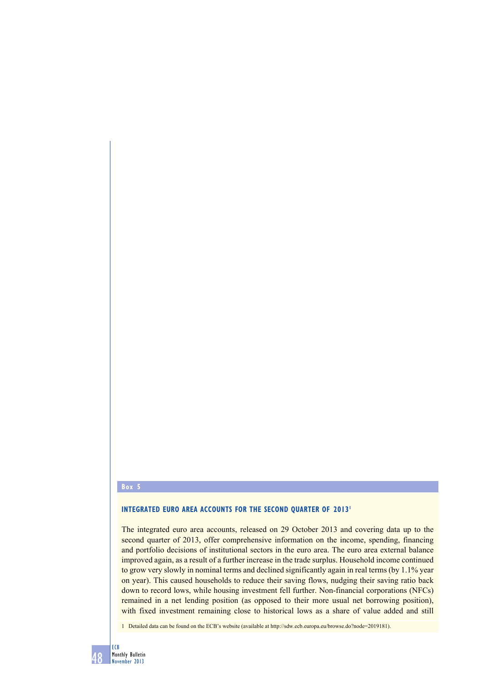## **box 5**

# **INTEGRATED EURO AREA ACCOUNTS FOR THE SECOND QUARTER OF 20131**

The integrated euro area accounts, released on 29 October 2013 and covering data up to the second quarter of 2013, offer comprehensive information on the income, spending, financing and portfolio decisions of institutional sectors in the euro area. The euro area external balance improved again, as a result of a further increase in the trade surplus. Household income continued to grow very slowly in nominal terms and declined significantly again in real terms (by 1.1% year on year). This caused households to reduce their saving flows, nudging their saving ratio back down to record lows, while housing investment fell further. Non-financial corporations (NFCs) remained in a net lending position (as opposed to their more usual net borrowing position), with fixed investment remaining close to historical lows as a share of value added and still

1 Detailed data can be found on the ECB's website (available at http://sdw.ecb.europa.eu/browse.do?node=2019181).

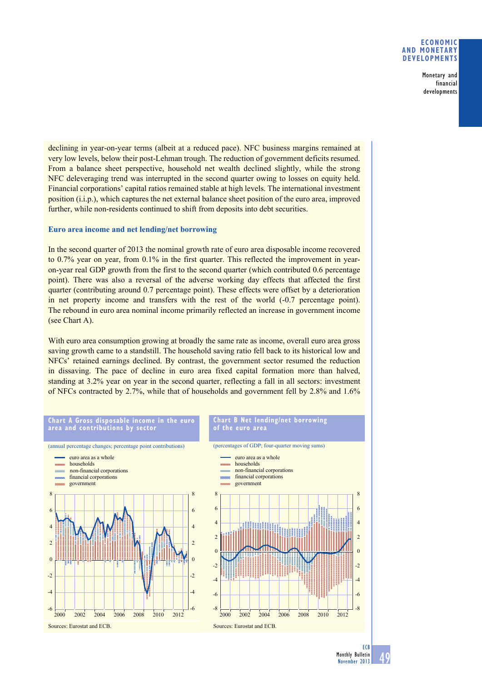### **eConomiC and monetary develoPments**

Monetary and financial developments

declining in year-on-year terms (albeit at a reduced pace). NFC business margins remained at very low levels, below their post-Lehman trough. The reduction of government deficits resumed. From a balance sheet perspective, household net wealth declined slightly, while the strong NFC deleveraging trend was interrupted in the second quarter owing to losses on equity held. Financial corporations' capital ratios remained stable at high levels. The international investment position (i.i.p.), which captures the net external balance sheet position of the euro area, improved further, while non-residents continued to shift from deposits into debt securities.

# **Euro area income and net lending/net borrowing**

In the second quarter of 2013 the nominal growth rate of euro area disposable income recovered to  $0.7\%$  year on year, from  $0.1\%$  in the first quarter. This reflected the improvement in yearon-year real GDP growth from the first to the second quarter (which contributed 0.6 percentage point). There was also a reversal of the adverse working day effects that affected the first quarter (contributing around 0.7 percentage point). These effects were offset by a deterioration in net property income and transfers with the rest of the world (-0.7 percentage point). The rebound in euro area nominal income primarily reflected an increase in government income (see Chart A).

With euro area consumption growing at broadly the same rate as income, overall euro area gross saving growth came to a standstill. The household saving ratio fell back to its historical low and  $NFCs'$  retained earnings declined. By contrast, the government sector resumed the reduction in dissaving. The pace of decline in euro area fixed capital formation more than halved, standing at 3.2% year on year in the second quarter, reflecting a fall in all sectors: investment of NFCs contracted by 2.7%, while that of households and government fell by 2.8% and 1.6%



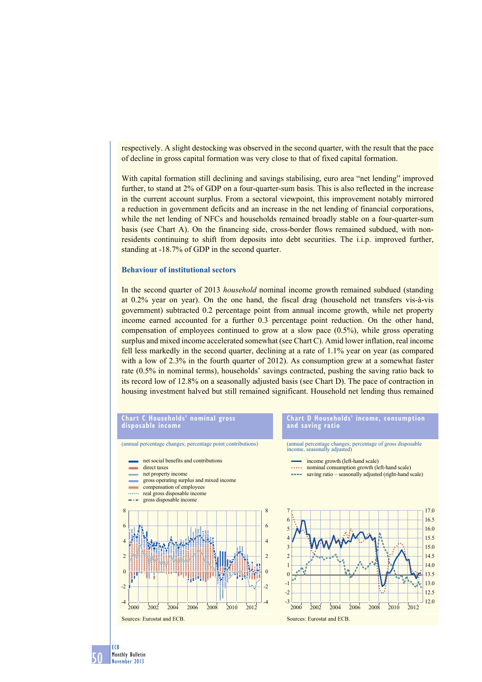respectively. A slight destocking was observed in the second quarter, with the result that the pace of decline in gross capital formation was very close to that of fixed capital formation.

With capital formation still declining and savings stabilising, euro area "net lending" improved further, to stand at 2% of GDP on a four-quarter-sum basis. This is also reflected in the increase in the current account surplus. From a sectoral viewpoint, this improvement notably mirrored a reduction in government deficits and an increase in the net lending of financial corporations, while the net lending of NFCs and households remained broadly stable on a four-quarter-sum basis (see Chart A). On the financing side, cross-border flows remained subdued, with nonresidents continuing to shift from deposits into debt securities. The i.i.p. improved further, standing at -18.7% of GDP in the second quarter.

#### **Behaviour of institutional sectors**

In the second quarter of 2013 *household* nominal income growth remained subdued (standing at  $0.2\%$  year on year). On the one hand, the fiscal drag (household net transfers vis-à-vis government) subtracted 0.2 percentage point from annual income growth, while net property income earned accounted for a further 0.3 percentage point reduction. On the other hand, compensation of employees continued to grow at a slow pace  $(0.5\%)$ , while gross operating surplus and mixed income accelerated somewhat (see Chart C). Amid lower inflation, real income fell less markedly in the second quarter, declining at a rate of  $1.1\%$  year on year (as compared with a low of  $2.3\%$  in the fourth quarter of 2012). As consumption grew at a somewhat faster rate  $(0.5\%$  in nominal terms), households' savings contracted, pushing the saving ratio back to its record low of 12.8% on a seasonally adjusted basis (see Chart D). The pace of contraction in housing investment halved but still remained significant. Household net lending thus remained



50 ECB Monthly Bulletin November 2013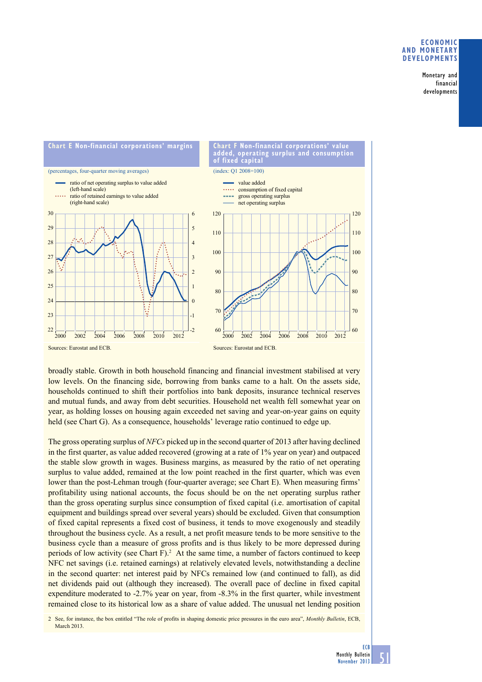#### **eConomiC and monetary develoPments**

Monetary and financial developments



broadly stable. Growth in both household financing and financial investment stabilised at very low levels. On the financing side, borrowing from banks came to a halt. On the assets side, households continued to shift their portfolios into bank deposits, insurance technical reserves and mutual funds, and away from debt securities. Household net wealth fell somewhat year on year, as holding losses on housing again exceeded net saving and year-on-year gains on equity held (see Chart G). As a consequence, households' leverage ratio continued to edge up.

The gross operating surplus of *NFCs* picked up in the second quarter of 2013 after having declined in the first quarter, as value added recovered (growing at a rate of  $1\%$  year on year) and outpaced the stable slow growth in wages. Business margins, as measured by the ratio of net operating surplus to value added, remained at the low point reached in the first quarter, which was even lower than the post-Lehman trough (four-quarter average; see Chart E). When measuring firms' profitability using national accounts, the focus should be on the net operating surplus rather than the gross operating surplus since consumption of fixed capital (i.e. amortisation of capital equipment and buildings spread over several years) should be excluded. Given that consumption of fixed capital represents a fixed cost of business, it tends to move exogenously and steadily throughout the business cycle. As a result, a net profit measure tends to be more sensitive to the business cycle than a measure of gross profits and is thus likely to be more depressed during periods of low activity (see Chart F).<sup>2</sup> At the same time, a number of factors continued to keep NFC net savings (i.e. retained earnings) at relatively elevated levels, notwithstanding a decline in the second quarter: net interest paid by NFCs remained low (and continued to fall), as did net dividends paid out (although they increased). The overall pace of decline in fixed capital expenditure moderated to  $-2.7\%$  year on year, from  $-8.3\%$  in the first quarter, while investment remained close to its historical low as a share of value added. The unusual net lending position

2 See, for instance, the box entitled "The role of profits in shaping domestic price pressures in the euro area", *Monthly Bulletin*, ECB, March 2013.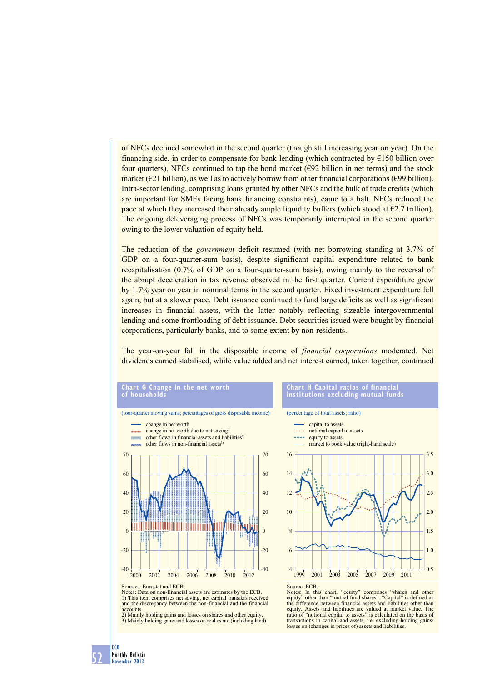of NFCs declined somewhat in the second quarter (though still increasing year on year). On the financing side, in order to compensate for bank lending (which contracted by  $E150$  billion over four quarters), NFCs continued to tap the bond market  $(\epsilon \theta 2)$  billion in net terms) and the stock market  $(621 \text{ billion})$ , as well as to actively borrow from other financial corporations  $(699 \text{ billion})$ . Intra-sector lending, comprising loans granted by other NFCs and the bulk of trade credits (which are important for SMEs facing bank financing constraints), came to a halt. NFCs reduced the pace at which they increased their already ample liquidity buffers (which stood at  $\epsilon$ 2.7 trillion). The ongoing deleveraging process of NFCs was temporarily interrupted in the second quarter owing to the lower valuation of equity held.

The reduction of the *government* deficit resumed (with net borrowing standing at 3.7% of GDP on a four-quarter-sum basis), despite significant capital expenditure related to bank recapitalisation  $(0.7\% \text{ of GDP on a four-quarter-sum basis})$ , owing mainly to the reversal of the abrupt deceleration in tax revenue observed in the first quarter. Current expenditure grew by 1.7% year on year in nominal terms in the second quarter. Fixed investment expenditure fell again, but at a slower pace. Debt issuance continued to fund large deficits as well as significant increases in financial assets, with the latter notably reflecting sizeable intergovernmental lending and some frontloading of debt issuance. Debt securities issued were bought by financial corporations, particularly banks, and to some extent by non-residents.

The year-on-year fall in the disposable income of *financial corporations* moderated. Net dividends earned stabilised, while value added and net interest earned, taken together, continued

#### **Chart g Change in the net worth of households** (four-quarter moving sums; percentages of gross disposable income) (percentage of total assets; ratio) change in net worth capital to assets **CONTRACTOR** change in net worth due to net saving<sup>1)</sup> ..... notional capital to assets other flows in financial assets and liabilities2)  $\equiv$  equity to assets other flows in non-financial assets<sup>3</sup> 70 70 16 60 60 14 40 40 12  $20$ 20 10  $\sqrt{2}$  $\theta$ 8  $-20$  $-20$ 6 -40  $-40$ 4 2000 2002 2004 2006 2008 2010 2012

Sources: Eurostat and ECB.

Notes: Data on non-financial assets are estimates by the ECB. 1) This item comprises net saving, net capital transfers received and the discrepancy between the non-financial and the financial accounts.

2) Mainly holding gains and losses on shares and other equity. 3) Mainly holding gains and losses on real estate (including land).

#### **Chart h Capital ratios of financial institutions excluding mutual funds**



Notes: In this chart, "equity" comprises "shares and other equity" other than "mutual fund shares". "Capital" is defined as the difference between financial assets and liabilities other than equity. Assets and liabilities are valued at market value. The ratio of "notional capital to assets" is calculated on the basis of transactions in capital and assets, i.e. excluding holding gains/ losses on (changes in prices of) assets and liabilities.